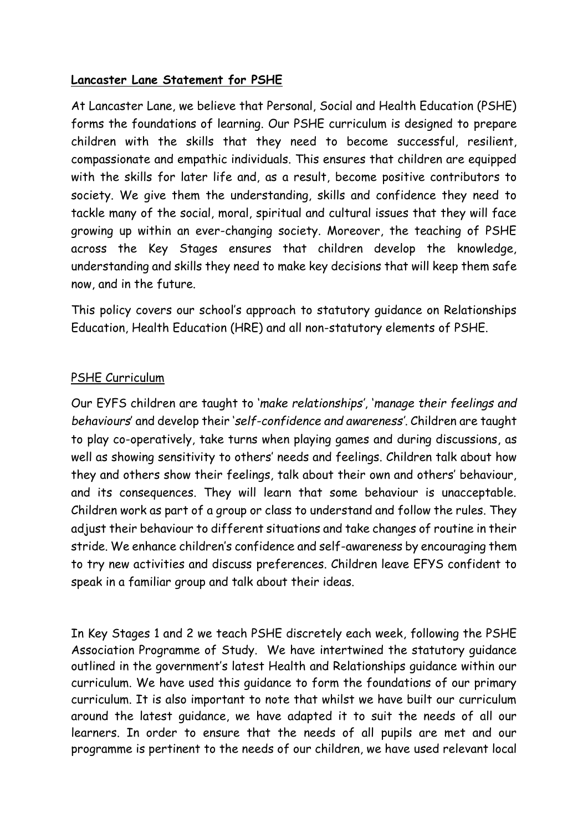#### **Lancaster Lane Statement for PSHE**

At Lancaster Lane, we believe that Personal, Social and Health Education (PSHE) forms the foundations of learning. Our PSHE curriculum is designed to prepare children with the skills that they need to become successful, resilient, compassionate and empathic individuals. This ensures that children are equipped with the skills for later life and, as a result, become positive contributors to society. We give them the understanding, skills and confidence they need to tackle many of the social, moral, spiritual and cultural issues that they will face growing up within an ever-changing society. Moreover, the teaching of PSHE across the Key Stages ensures that children develop the knowledge, understanding and skills they need to make key decisions that will keep them safe now, and in the future.

This policy covers our school's approach to statutory guidance on Relationships Education, Health Education (HRE) and all non-statutory elements of PSHE.

#### PSHE Curriculum

Our EYFS children are taught to '*make relationships'*, '*manage their feelings and behaviours*' and develop their '*self-confidence and awareness'*. Children are taught to play co-operatively, take turns when playing games and during discussions, as well as showing sensitivity to others' needs and feelings. Children talk about how they and others show their feelings, talk about their own and others' behaviour, and its consequences. They will learn that some behaviour is unacceptable. Children work as part of a group or class to understand and follow the rules. They adjust their behaviour to different situations and take changes of routine in their stride. We enhance children's confidence and self-awareness by encouraging them to try new activities and discuss preferences. Children leave EFYS confident to speak in a familiar group and talk about their ideas.

In Key Stages 1 and 2 we teach PSHE discretely each week, following the PSHE Association Programme of Study. We have intertwined the statutory guidance outlined in the government's latest Health and Relationships guidance within our curriculum. We have used this guidance to form the foundations of our primary curriculum. It is also important to note that whilst we have built our curriculum around the latest guidance, we have adapted it to suit the needs of all our learners. In order to ensure that the needs of all pupils are met and our programme is pertinent to the needs of our children, we have used relevant local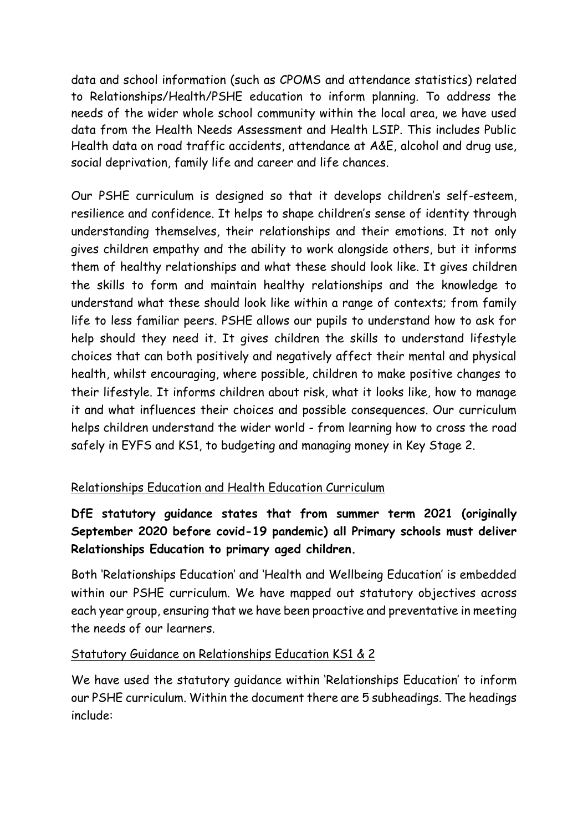data and school information (such as CPOMS and attendance statistics) related to Relationships/Health/PSHE education to inform planning. To address the needs of the wider whole school community within the local area, we have used data from the Health Needs Assessment and Health LSIP. This includes Public Health data on road traffic accidents, attendance at A&E, alcohol and drug use, social deprivation, family life and career and life chances.

Our PSHE curriculum is designed so that it develops children's self-esteem, resilience and confidence. It helps to shape children's sense of identity through understanding themselves, their relationships and their emotions. It not only gives children empathy and the ability to work alongside others, but it informs them of healthy relationships and what these should look like. It gives children the skills to form and maintain healthy relationships and the knowledge to understand what these should look like within a range of contexts; from family life to less familiar peers. PSHE allows our pupils to understand how to ask for help should they need it. It gives children the skills to understand lifestyle choices that can both positively and negatively affect their mental and physical health, whilst encouraging, where possible, children to make positive changes to their lifestyle. It informs children about risk, what it looks like, how to manage it and what influences their choices and possible consequences. Our curriculum helps children understand the wider world - from learning how to cross the road safely in EYFS and KS1, to budgeting and managing money in Key Stage 2.

## Relationships Education and Health Education Curriculum

# **DfE statutory guidance states that from summer term 2021 (originally September 2020 before covid-19 pandemic) all Primary schools must deliver Relationships Education to primary aged children.**

Both 'Relationships Education' and 'Health and Wellbeing Education' is embedded within our PSHE curriculum. We have mapped out statutory objectives across each year group, ensuring that we have been proactive and preventative in meeting the needs of our learners.

### Statutory Guidance on Relationships Education KS1 & 2

We have used the statutory guidance within 'Relationships Education' to inform our PSHE curriculum. Within the document there are 5 subheadings. The headings include: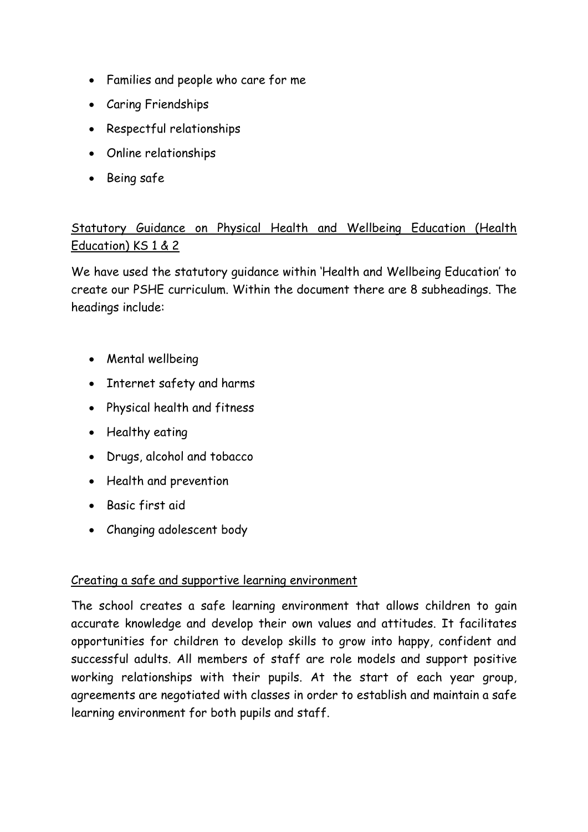- Families and people who care for me
- Caring Friendships
- Respectful relationships
- Online relationships
- Being safe

# Statutory Guidance on Physical Health and Wellbeing Education (Health Education) KS 1 & 2

We have used the statutory guidance within 'Health and Wellbeing Education' to create our PSHE curriculum. Within the document there are 8 subheadings. The headings include:

- Mental wellbeing
- Internet safety and harms
- Physical health and fitness
- Healthy eating
- Drugs, alcohol and tobacco
- Health and prevention
- Basic first aid
- Changing adolescent body

## Creating a safe and supportive learning environment

The school creates a safe learning environment that allows children to gain accurate knowledge and develop their own values and attitudes. It facilitates opportunities for children to develop skills to grow into happy, confident and successful adults. All members of staff are role models and support positive working relationships with their pupils. At the start of each year group, agreements are negotiated with classes in order to establish and maintain a safe learning environment for both pupils and staff.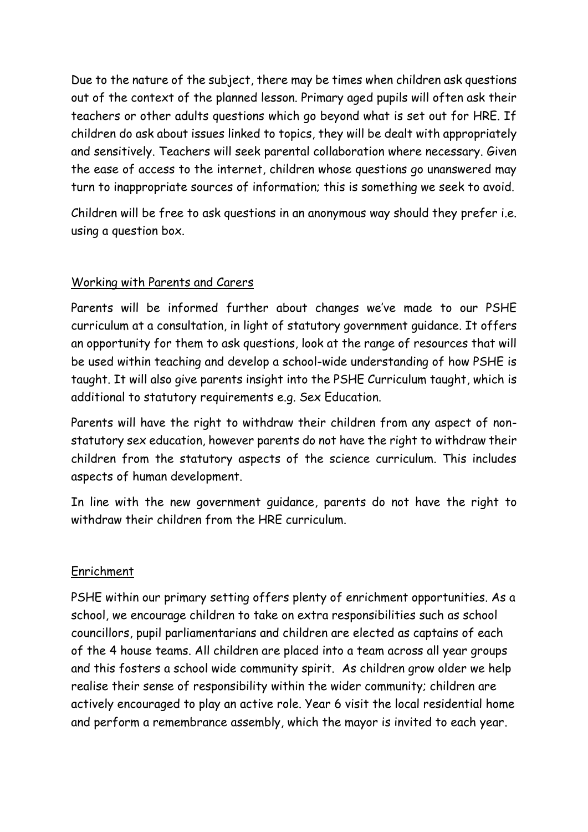Due to the nature of the subject, there may be times when children ask questions out of the context of the planned lesson. Primary aged pupils will often ask their teachers or other adults questions which go beyond what is set out for HRE. If children do ask about issues linked to topics, they will be dealt with appropriately and sensitively. Teachers will seek parental collaboration where necessary. Given the ease of access to the internet, children whose questions go unanswered may turn to inappropriate sources of information; this is something we seek to avoid.

Children will be free to ask questions in an anonymous way should they prefer i.e. using a question box.

### Working with Parents and Carers

Parents will be informed further about changes we've made to our PSHE curriculum at a consultation, in light of statutory government guidance. It offers an opportunity for them to ask questions, look at the range of resources that will be used within teaching and develop a school-wide understanding of how PSHE is taught. It will also give parents insight into the PSHE Curriculum taught, which is additional to statutory requirements e.g. Sex Education.

Parents will have the right to withdraw their children from any aspect of nonstatutory sex education, however parents do not have the right to withdraw their children from the statutory aspects of the science curriculum. This includes aspects of human development.

In line with the new government guidance, parents do not have the right to withdraw their children from the HRE curriculum.

### Enrichment

PSHE within our primary setting offers plenty of enrichment opportunities. As a school, we encourage children to take on extra responsibilities such as school councillors, pupil parliamentarians and children are elected as captains of each of the 4 house teams. All children are placed into a team across all year groups and this fosters a school wide community spirit. As children grow older we help realise their sense of responsibility within the wider community; children are actively encouraged to play an active role. Year 6 visit the local residential home and perform a remembrance assembly, which the mayor is invited to each year.